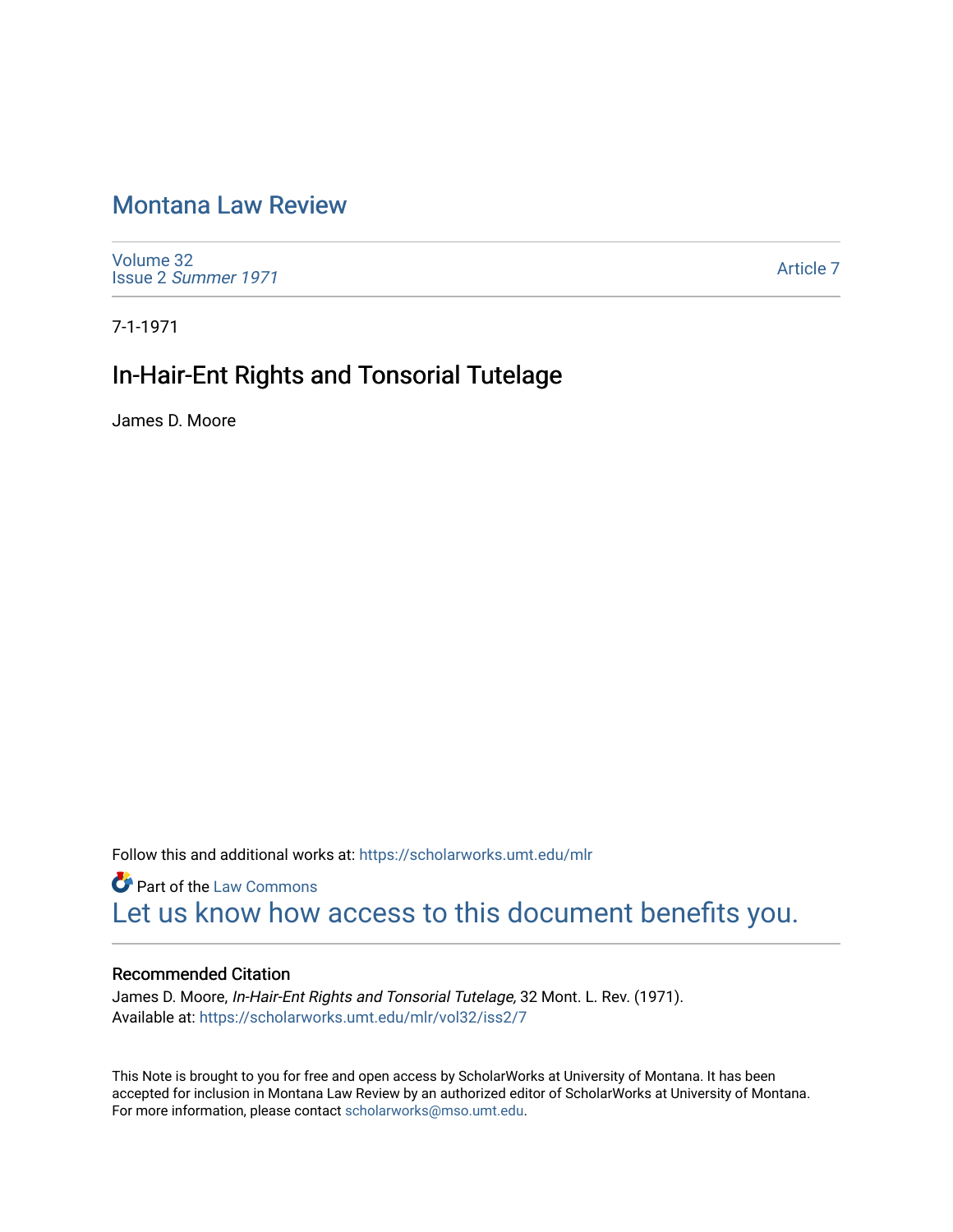# [Montana Law Review](https://scholarworks.umt.edu/mlr)

[Volume 32](https://scholarworks.umt.edu/mlr/vol32) Issue 2 [Summer 1971](https://scholarworks.umt.edu/mlr/vol32/iss2) 

[Article 7](https://scholarworks.umt.edu/mlr/vol32/iss2/7) 

7-1-1971

# In-Hair-Ent Rights and Tonsorial Tutelage

James D. Moore

Follow this and additional works at: [https://scholarworks.umt.edu/mlr](https://scholarworks.umt.edu/mlr?utm_source=scholarworks.umt.edu%2Fmlr%2Fvol32%2Fiss2%2F7&utm_medium=PDF&utm_campaign=PDFCoverPages) 

**Part of the [Law Commons](http://network.bepress.com/hgg/discipline/578?utm_source=scholarworks.umt.edu%2Fmlr%2Fvol32%2Fiss2%2F7&utm_medium=PDF&utm_campaign=PDFCoverPages)** [Let us know how access to this document benefits you.](https://goo.gl/forms/s2rGfXOLzz71qgsB2) 

## Recommended Citation

James D. Moore, In-Hair-Ent Rights and Tonsorial Tutelage, 32 Mont. L. Rev. (1971). Available at: [https://scholarworks.umt.edu/mlr/vol32/iss2/7](https://scholarworks.umt.edu/mlr/vol32/iss2/7?utm_source=scholarworks.umt.edu%2Fmlr%2Fvol32%2Fiss2%2F7&utm_medium=PDF&utm_campaign=PDFCoverPages) 

This Note is brought to you for free and open access by ScholarWorks at University of Montana. It has been accepted for inclusion in Montana Law Review by an authorized editor of ScholarWorks at University of Montana. For more information, please contact [scholarworks@mso.umt.edu.](mailto:scholarworks@mso.umt.edu)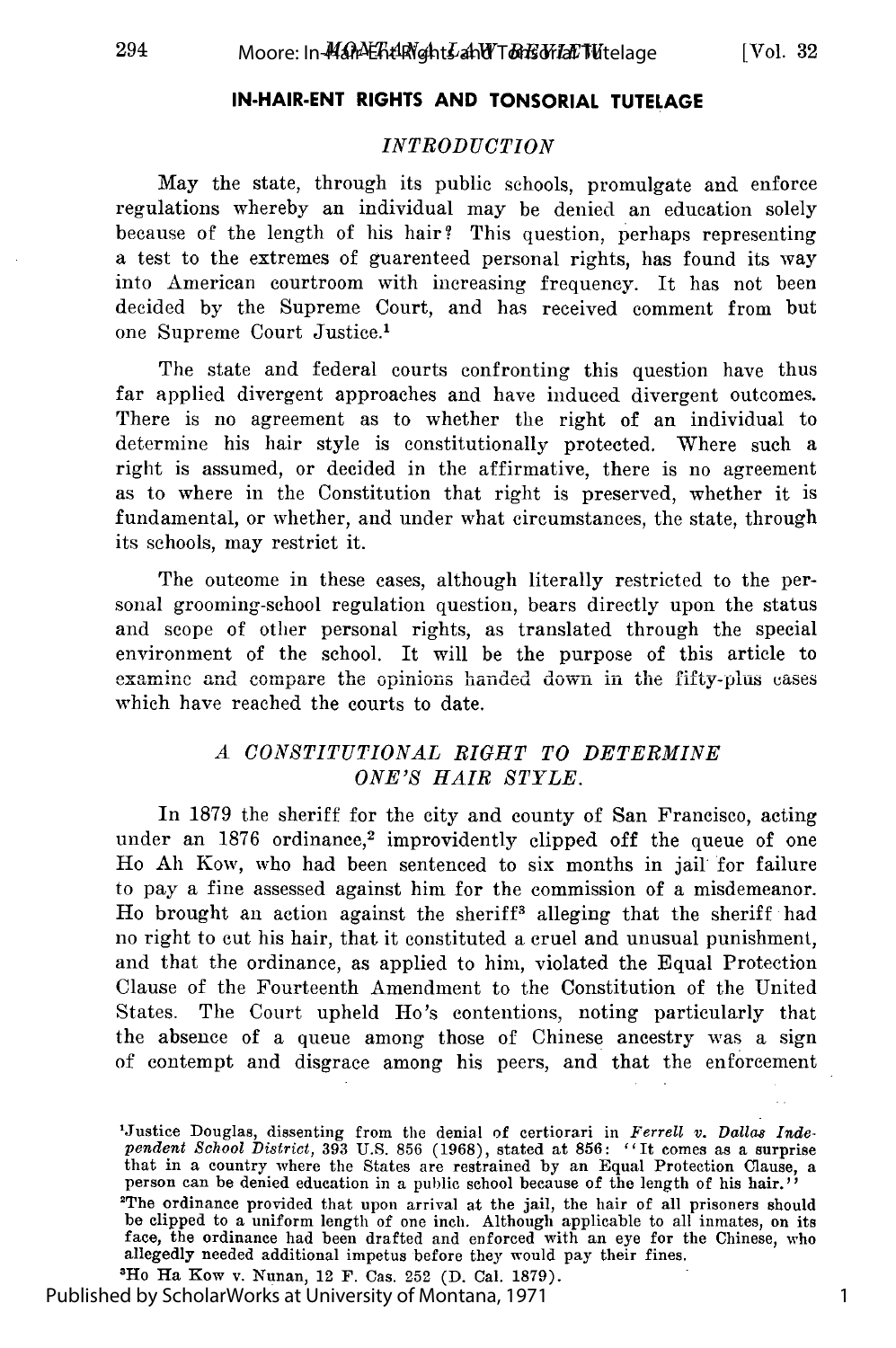## **IN-HAIR-ENT RIGHTS AND TONSORIAL TUTELAGE**

#### *INTRODUCTION*

May the state, through its public schools, promulgate and enforce regulations whereby an individual may be denied an education solely because of the length of his hair? This question, perhaps representing a test to the extremes of guarenteed personal rights, has found its way into American courtroom with increasing frequency. It has not been decided by the Supreme Court, and has received comment from but one Supreme Court Justice.'

The state and federal courts confronting this question have thus far applied divergent approaches and have induced divergent outcomes. There is no agreement as to whether the right of an individual to determine his hair style is constitutionally protected. Where such a right is assumed, or decided in the affirmative, there is no agreement as to where in the Constitution that right is preserved, whether it is fundamental, or whether, and under what circumstances, the state, through its schools, may restrict it.

The outcome in these cases, although literally restricted to the personal grooming-school regulation question, bears directly upon the status and scope of other personal rights, as translated through the special environment of the school. It will be the purpose of this article to examine and compare the opinions handed down in the fifty-plus cases which have reached the courts to date.

### *A CONSTITUTIONAL RIGHT TO DETERMINE ONE'S HAIR STYLE.*

In 1879 the sheriff for the city and county of San Francisco, acting under an 1876 ordinance,<sup>2</sup> improvidently clipped off the queue of one Ho Ah Kow, who had been sentenced to six months in jail for failure to pay a fine assessed against him for the commission of a misdemeanor. Ho brought an action against the sheriff<sup>3</sup> alleging that the sheriff had no right to cut his hair, that it constituted a cruel and unusual punishment, and that the ordinance, as applied to him, violated the Equal Protection Clause of the Fourteenth Amendment to the Constitution of the United States. The Court upheld Ho's contentions, noting particularly that the absence of a queue among those of Chinese ancestry was a sign of contempt and disgrace among his peers, and that the enforcement

Ho Ha Kow v. Nunan, 12 F. Cas. 252 (D. Cal. 1879). Published by ScholarWorks at University of Montana, 1971

<sup>&#</sup>x27;Justice Douglas, dissenting from the denial of certiorari in *Ferrell v. Dallas Inde-pendent School District,* 393 U.S. 856 (1968), stated at 856: *"It* comes as a surprise that in a country where the States are restrained by an Equal Protection Clause, a person can be denied education in a public school because of the length of his hair.'' Person can be defined calculated in a public school because of the engine of mis hair. be clipped to a uniform length of one inch. Although applicable to all inmates, on its<br>face, the ordinance had been drafted and enforced with an eye for the Chinese, who allegedly needed additional impetus before they would pay their fines.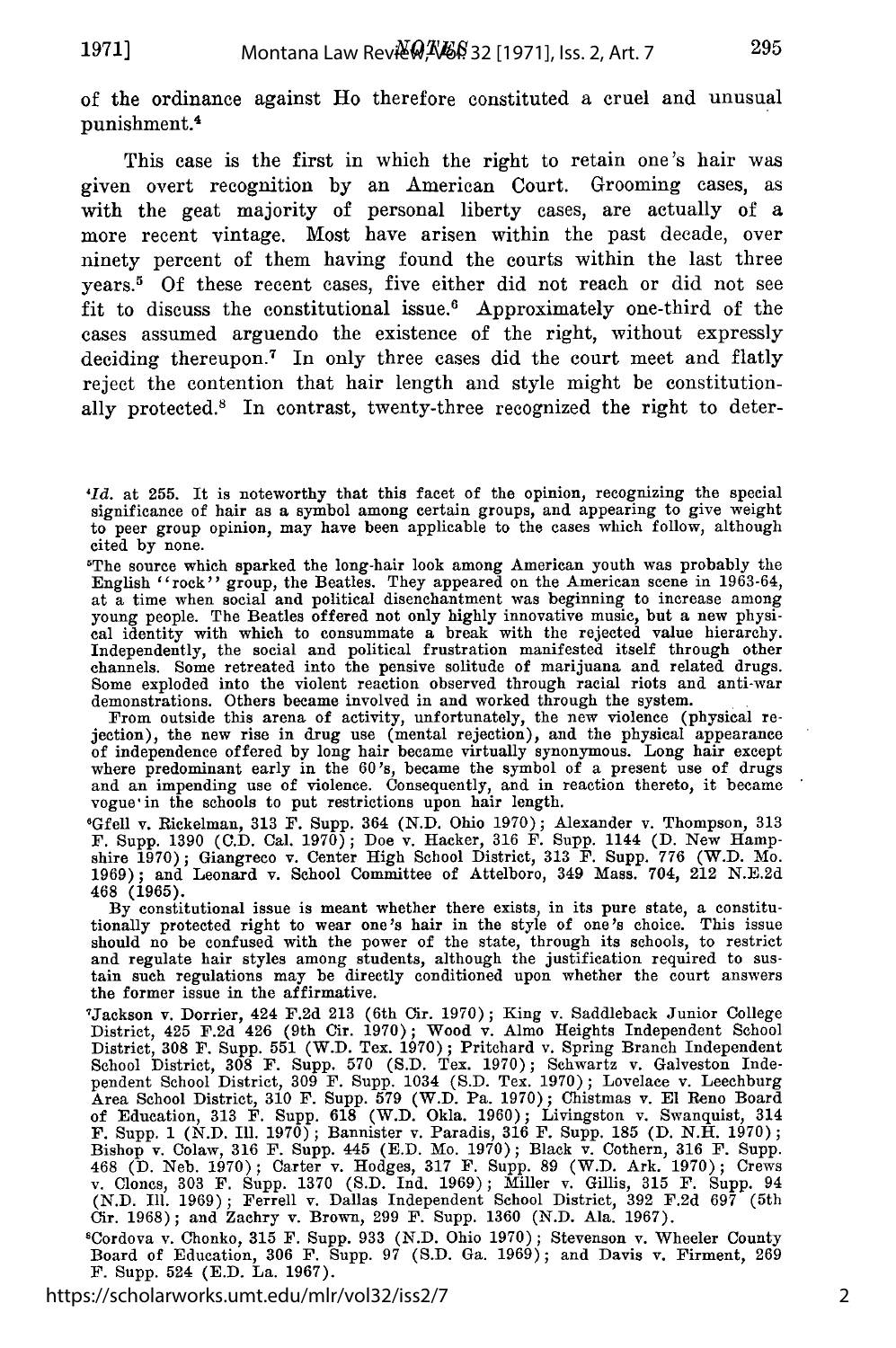of the ordinance against Ho therefore constituted a cruel and unusual punishment.<sup>4</sup>

This case is the first in which the right to retain one's hair was given overt recognition by an American Court. Grooming cases, as with the geat majority of personal liberty cases, are actually of a more recent vintage. Most have arisen within the past decade, over ninety percent of them having found the courts within the last three years.<sup>5</sup> Of these recent cases, five either did not reach or did not see fit to discuss the constitutional issue.6 Approximately one-third of the cases assumed arguendo the existence of the right, without expressly deciding thereupon.7 In only three cases did the court meet and flatly reject the contention that hair length and style might be constitutionally protected.8 In contrast, twenty-three recognized the right to deter-

The source which sparked the long-hair look among American youth was probably the English "rock" group, the Beatles. They appeared on the American scene in 1963-64 at a time when social and political disenchantment was beginning to increase among young people. The Beatles offered not only highly innovative music, but a new physical identity with which to consummate a break with the rejected value hierarchy. Independently, the social and political frustration manifested itself through other channels. Some retreated into the pensive solitude of marijuana and related drugs. Some exploded into the violent reaction observed through racial riots and anti-war demonstrations. Others became involved in and worked through the system. From outside this arena of activity, unfortunately, the new violence (physical re-

jection), the new rise in drug use (mental rejection), and the physical appearance<br>of independence offered by long hair became virtually synonymous. Long hair except<br>where predominant early in the 60's, became the symbol o and an impending use of violence. Consequently, and in reaction thereto, it became vogue' in the schools to put restrictions upon hair length.

GGfell v. Rickelman, **313** F. Supp. 364 (N.D. Ohio 1970); Alexander v. Thompson, 313 F. Supp. 1390 (C.D. Cal. 1970); Doe v. Hacker, **316** F. Supp. 1144 **(D.** New Hampshire 1970); Giangreco v. Center High School District, 313 F. Supp. 776 (W.D. Mo.<br>1969); and Leonard v. School Committee of Attelboro, 349 Mass. 704, 212 N.E.2d 468 (1965).

By constitutional issue is meant whether there exists, in its pure state, a constitutionally protected right to wear one's hair in the style of one's choice. This issue should no be confused with the power of the state, through its schools, to restrict and regulate hair styles among students, although the justification required to sustain such regulations may be directly conditioned upon whether the court answers the former issue in the affirmative. the former issue in the affirmative.<br>
Tackson v. Dorrier, 424 F.2d 213 (6th Cir. 1970); King v. Saddleback Junior College

District, 425 **F.2d** 426 (9th Cir. **1970);** Wood v. Almo Heights Independent School District, **308** F. Supp. **551** (W.D. Tex. **1970);** Pritchard v. Spring Branch Independent School District, **308** F. Supp. **570 (S.D.** Tex. **1970);** Schwartz v. Galveston Independent School District, **309** F. Supp. 1034 **(S.D.** Tex. **1970);** Lovelace v. Leechburg Area School District, **310** F. Supp. **579** (W.D. Pa. **1970);** Chistmas v. **El** Reno Board of Education, **313** F. Supp. **618** (W.D. Okla. **1960);** Livingston v. Swanquist, 314 F. Supp. **1 (N.D.** Ill. 1970); Bannister v. Paradis, **316** F. Supp. **185 (D. N.H. 1970);** Bishop v. Colaw, **316** F. Supp. 445 **(E.D.** Mo. **1970);** Black v. Cothern, **316** F. Supp. 468 **(D.** Neb. **1970);** Carter v. Hodges, **317 F.** Supp. 89 (W.D. Ark. **1970);** Crews v. Clones, **303** F. Supp. **1370 (S.D.** Ind. **1969);** Miller v. Gillis, **315** F. Supp. 94 (N.D. Ill. **1969)** ; Ferrell v. Dallas Independent School District, **392** F.2d **697** (5th Cir. **1968);** and Zachry v. Brown, 299 F. Supp. **1360 (N.D.** Ala. **1967).** 8Cordova v. Chonko, **315** F. Supp. **933 (N.D.** Ohio **1970);** Stevenson v. Wheeler County

Board of Education, **306** F. Supp. **97 (S.D.** Ga. 1969); and Davis v. Firment, **269 F.** Supp. 524 **(E.D.** La. **1967).**

https://scholarworks.umt.edu/mlr/vol32/iss2/7

2

<sup>&#</sup>x27;Id. at 255. It is noteworthy that this facet of the opinion, recognizing the special significance of hair as a symbol among certain groups, and appearing to give weight to peer group opinion, may have been applicable to the cases which follow, although cited by none.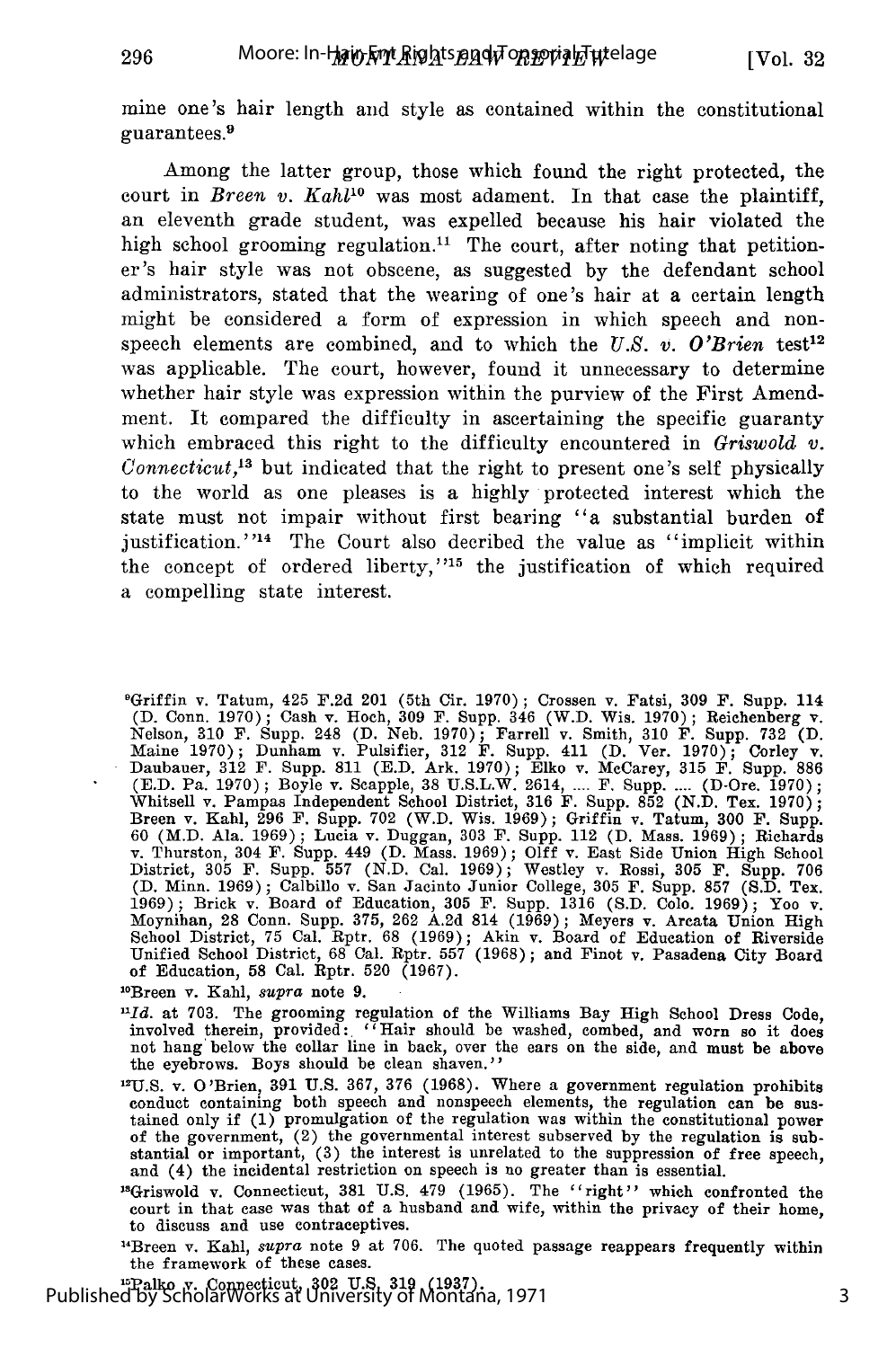mine one's hair length and style as contained within the constitutional guarantees.<sup>9</sup>

Among the latter group, those which found the right protected, the court in *Breen v. Kahlt°* was most adament. In that case the plaintiff, an eleventh grade student, was expelled because his hair violated the high school grooming regulation.<sup>11</sup> The court, after noting that petitioner's hair style was not obscene, as suggested by the defendant school administrators, stated that the wearing of one's hair at a certain length might be considered a form of expression in which speech and nonspeech elements are combined, and to which the  $U.S.$  v. O'Brien test<sup>12</sup> was applicable. The court, however, found it unnecessary to determine whether hair style was expression within the purview of the First Amendment. It compared the difficulty in ascertaining the specific guaranty which embraced this right to the difficulty encountered in *Griswold v. Connecticut,13* but indicated that the right to present one's self physically to the world as one pleases is a highly protected interest which the state must not impair without first bearing "a substantial burden of justification.<sup>''14</sup> The Court also decribed the value as "implicit within the concept of ordered liberty,"<sup>15</sup> the justification of which required a compelling state interest.

9 Griffin v. Tatum, 425 F.2d 201 (5th Cir. 1970); Crossen v. Fatsi, 309 F. Supp. 114 (D. Conn. 1970); Cash v. Hoch, 309 F. Supp. 346 (W.D. Wis. 1970); Reichenberg v. Nelson, 310 F. Supp. 248 (D. Neb. 1970); Farrell v. Smith, 310 F. Supp. 732 (D. Maine 1970); Dunham v. Pulsifier, 312 F. Supp. 411 (D. Ver. 1970); Corley v<br>Daubauer, 312 F. Supp. 811 (E.D. Ark. 1970); Elko v. McCarey, 315 F. Supp. 886<br>(E.D. Pa. 1970); Boyle v. Scapple, 38 U.S.L.W. 2614, .... F. Supp. Whitsell v. Pampas Independent School District, 316 F. Supp. 852 (N.D. Tex. 1970) Breen v. Kahl, 296 F. Supp. 702 (W.D. Wis. 1969); Griffin v. Tatum, 300 F. Supp. 60 (M.D. Ala. 1969); Lucia v. Duggan, 303 F. Supp. 112 (D. Mass. 1969); Richards v. Thurston, 304 F. Supp. 449 (D. Mass. 1969); **Olff** v. East Side Union High School District, 305 F. Supp. 557 (N.D. Cal. 1969); Westley v. Rossi, 305 F. Supp. 706<br>(D. Minn. 1969); Calbillo v. San Jacinto Junior College, 305 F. Supp. 857 (S.D. Tex 1969); Brick v. Board of Education, 305 F. Supp. 1316 (S.D. Colo. 1969); Yoo v. Moynihan, 28 Conn. Supp. 375, 262 A.2d 814 (1969); Meyers v. Arcata Union High School District, 75 Cal. Rptr. 68 (1969); Akin v. Board of Education of Riverside Unified School District, 68 Cal. Rptr. 557 (1968); and Finot v. Pasadena City Board of Education, 58 Cal. Rptr. 520 (1967). of Education, 58 Cal. Rptr. 520 (1967).<br><sup>10</sup>Breen v. Kahl, *supra* note 9.

296

*Hld.* at 703. The grooming regulation of the Williams Bay High School Dress Code, involved therein, provided: "Hair should be washed, combed, and worn so it does not hang below the collar line in back, over the ears on the side, and must be above the eyebrows. Boys should be clean shaven.''

<sup>12</sup>U.S. v. O'Brien, 391 U.S. 367, 376 (1968). Where a government regulation prohibits conduct containing both speech and nonspeech elements, the regulation can be sustained only if (1) promulgation of the regulation was within the constitutional power of the government, (2) the governmental interest subserved by the regulation is substantial or important, (3) the interest is unrelated to the suppression of free speech, and (4) the incidental restriction on speech is no greater than is essential.

13Griswold v. Connecticut, 381 U.S. 479 (1965). The "right" which confronted the court in that case was that of a husband and wife, within the privacy of their home, to discuss and use contraceptives.

"Breen v. Kahl, *supra* note 9 at 706. The quoted passage reappears frequently within the framework of these cases.<br><sup>15</sup>Palko v. Connecticut, 302 U.S. 319 (1937).

Published by ScholarWorks at University of Montana, 1971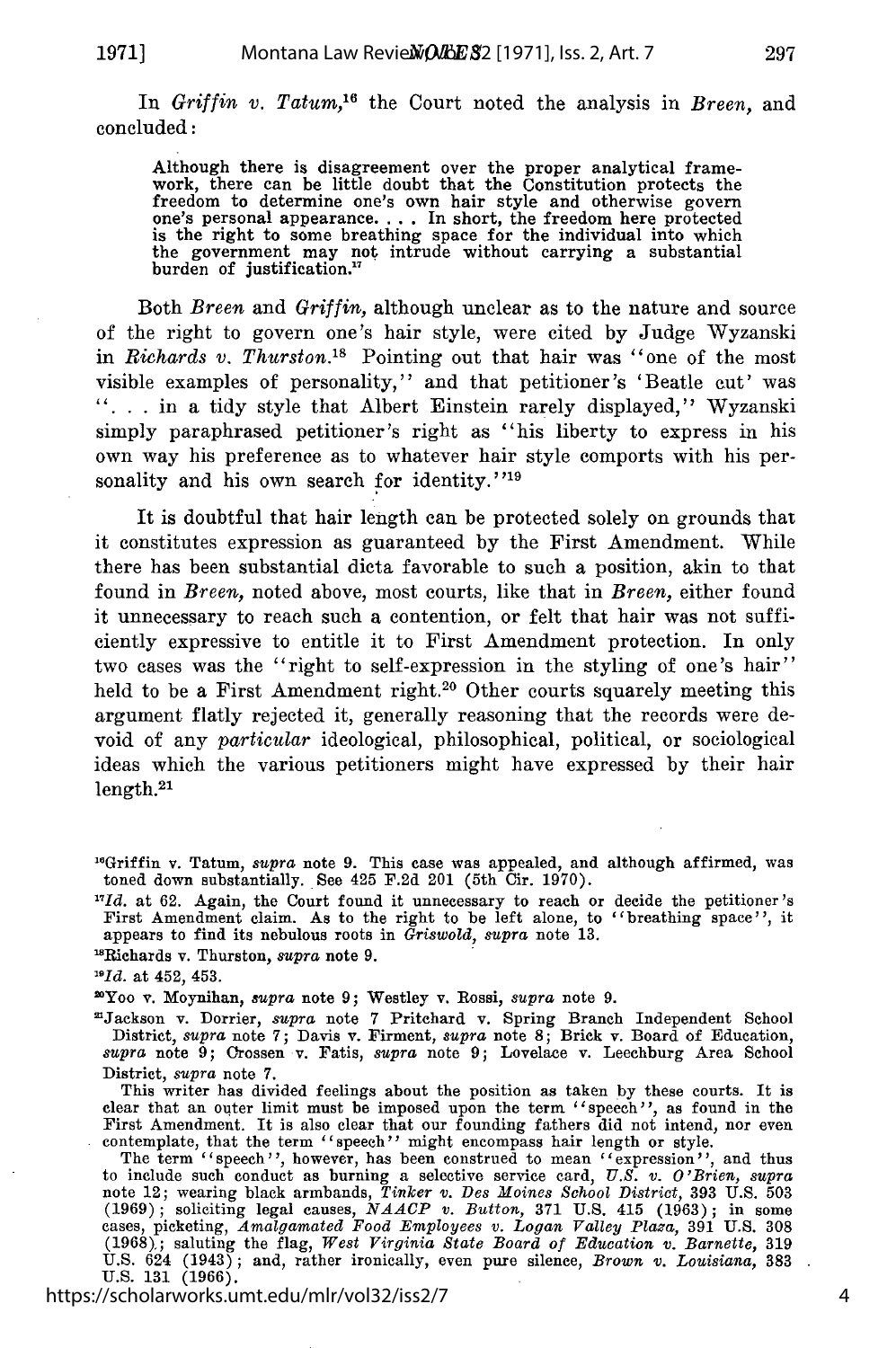In *Griffin v. Tatum,16* the Court noted the analysis in *Breen,* and concluded:

Although there is disagreement over the proper analytical frame-work, there can be little doubt that the Constitution protects the freedom to determine one's own hair style and otherwise govern one's personal appearance **....** In short, the freedom here protected is the right to some breathing space for the individual into which the government may not intrude without carrying a substantial burden of justification.

Both *Breen* and *Griffin,* although unclear as to the nature and source of the right to govern one's hair style, were cited by Judge Wyzanski in *Richards v. Thurston.*<sup>18</sup> Pointing out that hair was "one of the most visible examples of personality," and that petitioner's 'Beatle cut' was "... in a tidy style that Albert Einstein rarely displayed," Wyzanski simply paraphrased petitioner's right as "his liberty to express in his own way his preference as to whatever hair style comports with his personality and his own search for identity."<sup>19</sup>

It is doubtful that hair length can be protected solely on grounds that it constitutes expression as guaranteed by the First Amendment. While there has been substantial dicta favorable to such a position, akin to that found in *Breen,* noted above, most courts, like that in *Breen,* either found it unnecessary to reach such a contention, or felt that hair was not sufficiently expressive to entitle it to First Amendment protection. In only two cases was the "right to self-expression in the styling of one's hair" held to be a First Amendment right.<sup>20</sup> Other courts squarely meeting this argument flatly rejected it, generally reasoning that the records were devoid of any *particular* ideological, philosophical, political, or sociological ideas which the various petitioners might have expressed by their hair length.21

'Jackson v. Dorrier, *supra* note 7 Pritchard v. Spring Branch Independent School District, *supra* note 7; Davis v. Firment, *supra* note **8;** Brick v. Board of Education, *supra* note 9; Orossen v. Fatis, *supra* note 9; Lovelace v. Leechburg Area School District, *supra* note 7.

This writer has divided feelings about the position as taken by these courts. It is clear that an outer limit must be imposed upon the term "speech", as found in the First Amendment. It is also clear that our founding fathers did not intend, nor even

entemplate, that the term "speech"' might encompass hair length or style.<br>The term "speech"' however, has been construed to mean "expression", and thus<br>to include such conduct as burning a selective service card, U.S. v. O (1969); soliciting legal causes, *NAACP v. Button,* 371 U.S. 415 (1963); in some cases, picketing, *Amalgamated Food Employees v. Logan Valley Plaza,* 391 U.S. 308 (1968),; saluting the flag, *West Virginia State Board of Education v. Barnette,* 319 U.S. 624 (1943); and, rather ironically, even pure silence, *Brown* v. *Louisiana,* 383 U.S. 131 (1966).

https://scholarworks.umt.edu/mlr/vol32/iss2/7

4

<sup>&</sup>quot;Griffin v. Tatum, *supra* note 9. This case was appealed, and although affirmed, was toned down substantially. See 425 F.2d 201 (5th Cir. 1970).

<sup>&</sup>lt;sup>17</sup>Id. at 62. Again, the Court found it unnecessary to reach or decide the petitioner's First Amendment claim. As to the right to be left alone, to "breathing space", it appears to find its nebulous roots in *Griswold, supra* note 13.

<sup>&#</sup>x27;Richards v. Thurston, *supra* note 9.

*<sup>&#</sup>x27;"Id.* at 452, 453.

<sup>&#</sup>x27;Yoo v. Moynihan, *supra* note 9; Westley v. Rossi, *supra* note 9.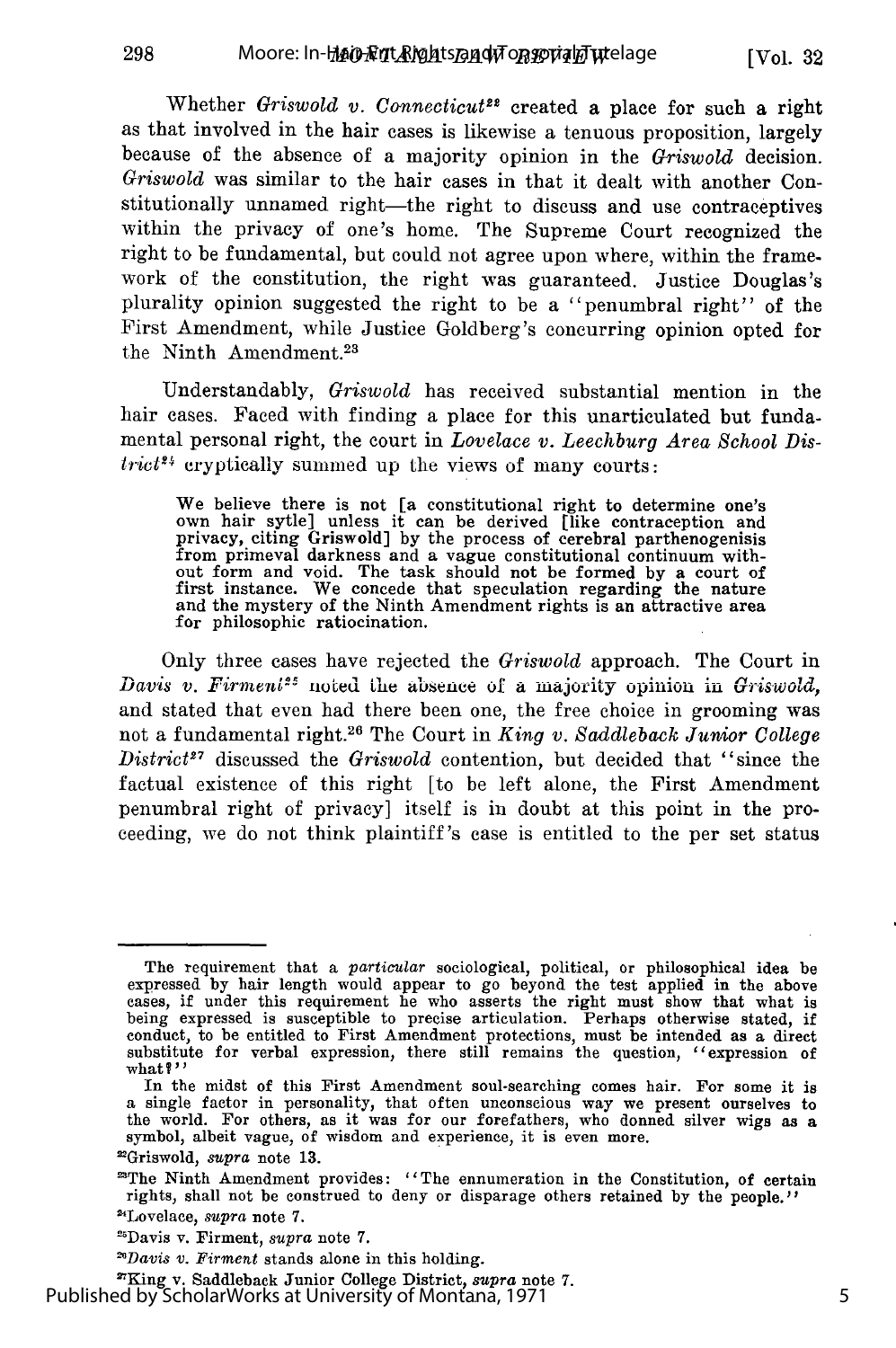Whether *Griswold v. Connecticut<sup>22</sup>* created a place for such a right as that involved in the hair cases is likewise a tenuous proposition, largely because of the absence of a majority opinion in the *Griswold* decision. *Griswold* was similar to the hair cases in that it dealt with another Constitutionally unnamed right-the right to discuss and use contraceptives within the privacy of one's home. The Supreme Court recognized the right to be fundamental, but could not agree upon where, within the framework of the constitution, the right was guaranteed. Justice Douglas's plurality opinion suggested the right to be a "penumbral right" of the First Amendment, while Justice Goldberg's concurring opinion opted for the Ninth Amendment.<sup>23</sup>

Understandably, *Griswold* has received substantial mention in the hair cases. Faced with finding a place for this unarticulated but fundamental personal right, the court in *Lovelace v. Leechburg Area School Dis-* $\text{trict}^{\ell_{1}}$  cryptically summed up the views of many courts

We believe there is not [a constitutional right to determine one's own hair sytle] unless it can be derived [like contraception and privacy, citing Griswold] by the process of cerebral parthenogenisis from primeval darkness and a vague constitutional continuum without form and void. The task should not be formed by a court of first instance. We concede that speculation regarding the nature and the mystery of the Ninth Amendment rights is an attractive area for philosophic ratiocination.

Only three cases have rejected the *Griswold* approach. The Court in *Davis v. Firment<sup>25</sup>* noted the absence of a majority opinion in *Griswold*, and stated that even had there been one, the free choice in grooming was not a fundamental right.26 The Court in *King v. Saddleback Junior College District2 <sup>7</sup>*discussed the *Griswold* contention, but decided that "since the factual existence of this right [to be left alone, the First Amendment penumbral right of privacy] itself is in doubt at this point in the proceeding, we do not think plaintiff's case is entitled to the per set status

'King v. Saddleback Junior College District, *supra* note 7. Published by ScholarWorks at University of Montana, 1971

The requirement that a *particular* sociological, political, or philosophical idea be expressed by hair length would appear to go beyond the test applied in the above cases, if under this requirement he who asserts the right must show that what is being expressed is susceptible to precise articulation. Perhaps otherwise stated, if conduct, to be entitled to First Amendment protections, must be intended as a direct substitute for verbal expression, there still remains the question, "expression of what?"

In the midst of this First Amendment soul-searching comes hair. For some it is a single factor in personality, that often unconscious way we present ourselves to the world. For others, as it was for our forefathers, who donned silver wigs as a symbol, albeit vague, of wisdom and experience, it is even more. 'Griswold, *supra* note 13.

<sup>&#</sup>x27;The Ninth Amendment provides: "The ennumeration in the Constitution, of certain rights, shall not be construed to deny or disparage others retained by the people." 'Lovelace, *supra* note 7.

nDavis v. Firment, *supra* note 7.

*<sup>&</sup>quot;Davis v. Firment* stands alone in this holding.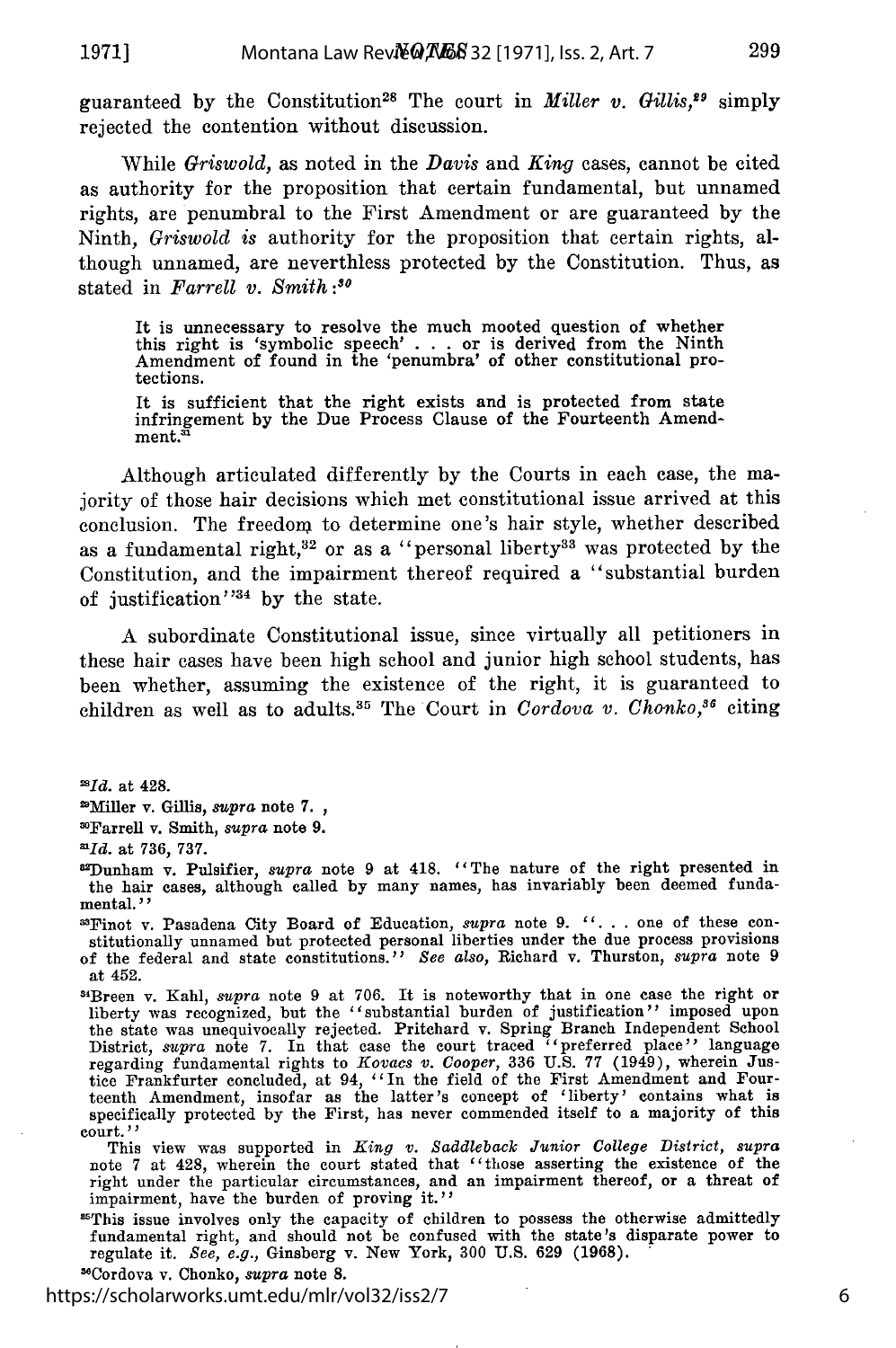**1971]**

299

guaranteed by the Constitution<sup>28</sup> The court in *Miller v. Gillis*,<sup>29</sup> simply rejected the contention without discussion.

While *Griswold,* as noted in the *Davis* and *King* cases, cannot be cited as authority for the proposition that certain fundamental, but unnamed rights, are penumbral to the First Amendment or are guaranteed by the Ninth, *Griswold is* authority for the proposition that certain rights, although unnamed, are neverthless protected by the Constitution. Thus, as stated in *Farrell v. Smith :3*

It is unnecessary to resolve the much mooted question of whether this right is 'symbolic speech' . . . or is derived from the Ninth Amendment of found in the 'penumbra' of other constitutional pro-<br>tections.

It is sufficient that the right exists and is protected from state infringement by the Due Process Clause of the Fourteenth Amendment.<sup>31</sup>

Although articulated differently by the Courts in each case, the majority of those hair decisions which met constitutional issue arrived at this conclusion. The freedom to determine one's hair style, whether described as a fundamental right,<sup>32</sup> or as a "personal liberty<sup>33</sup> was protected by the Constitution, and the impairment thereof required a "substantial burden of justification<sup> $334$ </sup> by the state.

A subordinate Constitutional issue, since virtually all petitioners in these hair cases have been high school and junior high school students, has been whether, assuming the existence of the right, it is guaranteed to children as well as to adults.<sup>35</sup> The Court in *Cordova v. Chonko*,<sup>36</sup> citing

*"Id.* at 428.

2Miller v. Gillis, *supra* note 7.

"Farrell v. Smith, *supra* note 9.

*-1d.* at 736, 737.

12Dunham v. Pulsifier, *supra* note 9 at 418. 'The nature of the right presented in the hair cases, although called by many names, has invariably been deemed fundamental. *''*

3'Finot v. Pasadena City Board of Education, *supra* note 9. ". **.** . one of these constitutionally unnamed but protected personal liberties under the due process provisions of the federal and state constitutions.'' *See also,* Richard v. Thurston, *supra* note 9 at 452.<br><sup>34</sup>Breen v. Kahl, *supra* note 9 at 706. It is noteworthy that in one case the right or

liberty was recognized, but the "substantial burden of justification" imposed upor the state was unequivocally rejected. Pritchard v. Spring Branch Independent School<br>District, *supra* note 7. In that case the court traced "preferred place" language<br>regarding fundamental rights to Kovacs v. Cooper, 336 U tice Frankfurter concluded, at 94, *"In* the field of the First Amendment and Fourteenth Amendment, insofar as the latter's concept of 'liberty' contains what is specifically protected by the First, has never commended itself to a majority of this court. *''*

This view was supported in *King v. Saddleback Junior College District, supra* note 7 at 428, wherein the court stated that "those asserting the existence of the right under the particular circumstances, and an impairment thereof, or a threat of impairment, have the burden of proving it."

'This issue involves only the capacity of children to possess the otherwise admittedly fundamental right, and should not be confused with the state's disparate power to regulate it. *See, e.g.,* Ginsberg v. New York, 300 U.S. 629 (1968).

36Cordova v. Chonko, *supra* note 8.

https://scholarworks.umt.edu/mlr/vol32/iss2/7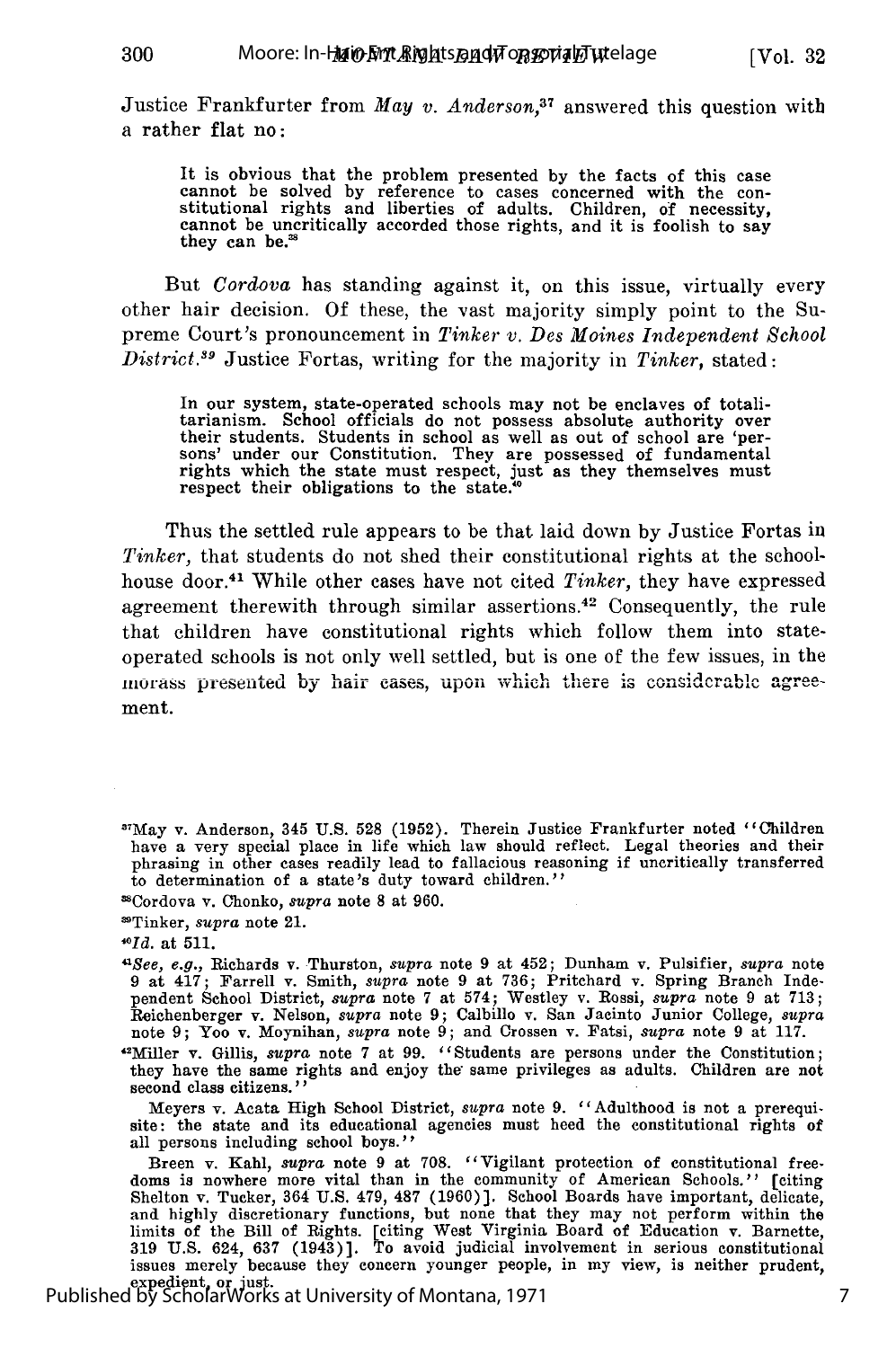Justice Frankfurter from *May v. Anderson,37* answered this question with a rather flat no:

It is obvious that the problem presented by the facts of this case<br>cannot be solved by reference to cases concerned with the con-<br>stitutional rights and liberties of adults. Children, of necessity, cannot be uncritically accorded those rights, and it is foolish to say they can be.'

But *Cordova* has standing against it, on this issue, virtually every other hair decision. Of these, the vast majority simply point to the Supreme Court's pronouncement in *Tinker v. Des Moines Independent School District.9* Justice Fortas, writing for the majority in *Tinker,* stated:

In our system, state-operated schools may not be enclaves of totali-<br>tarianism. School officials do not possess absolute authority over tarianism. School officials do not possess absolute authority over their students. Students in school as well as out of school are 'per- sons' under our Constitution. They are possessed of fundamental rights which the state must respect, just as they themselves must respect their obligations to the state."

Thus the settled rule appears to be that laid down by Justice Fortas in *Tinker*, that students do not shed their constitutional rights at the schoolhouse door.41 While other cases have not cited *Tinker,* they have expressed agreement therewith through similar assertions.<sup>42</sup> Consequently, the rule that children have constitutional rights which follow them into stateoperated schools is not only well settled, but is one of the few issues, in the morass presented by hair eases, upon which there is considerable agreement.

300.

Breen v. Kahl, supra note 9 at 708. "Vigilant protection of constitutional freedoms is nowhere more vital than in the community of American Schools.'' [citing Shelton v. Tucker, 364 U.S. 479, 487 (1960)]. School Boards have important, delicate and highly discretionary functions, but none that they may not perform within the limits of the Bill of Rights. [citing West Virginia Board of Education v. Barnette, 319 U.S. 624, 637 (1943)]. To avoid judicial involvement in serious constitutional issues merely because they concern younger people, in my view, is neither prudent,

**<sup>37</sup>May** v. Anderson, 345 U.S. 528 (1952). Therein Justice Frankfurter noted "children have a very special place in life which law should reflect. Legal theories and their phrasing in other cases readily lead to fallacious reasoning if uncritically transferred to determination of a state's duty toward children."

Cordova v. Chonko, *supra* note 8 at 960.

<sup>&</sup>quot;Tinker, *supra* note 21.

*<sup>1</sup>Id.* at 511.

*<sup>&</sup>quot;See, e.g.,* Richards v. Thurston, *supra* note 9 at 452; Dunham v. Pulsifier, *supra* note 9 at 417; Farrell v. Smith, *supra* note 9 at 736; Pritchard v. Spring Branch Independent School District, *supra* note 7 at 574; Westley v. Rossi, *supra* note 9 at 713; Reichenberger v. Nelson, *supra* note **9;** Calbillo v. San Jacinto Junior College, *supra* note 9; Yoo v. Moynihan, *supra* note 9; and Crossen v. Fatsi, *supra* note 9 at 117.

<sup>&</sup>quot;Miller v. Gillis, *supra* note 7 at 99. "Students are persons under the Constitution; they have the same rights and enjoy the same privileges as adults. Children are not second class citizens.''

Meyers v. Acata High School District, *supra* note 9. "Adulthood is not a prerequisite: the state and its educational agencies must heed the constitutional rights of all persons including school boys."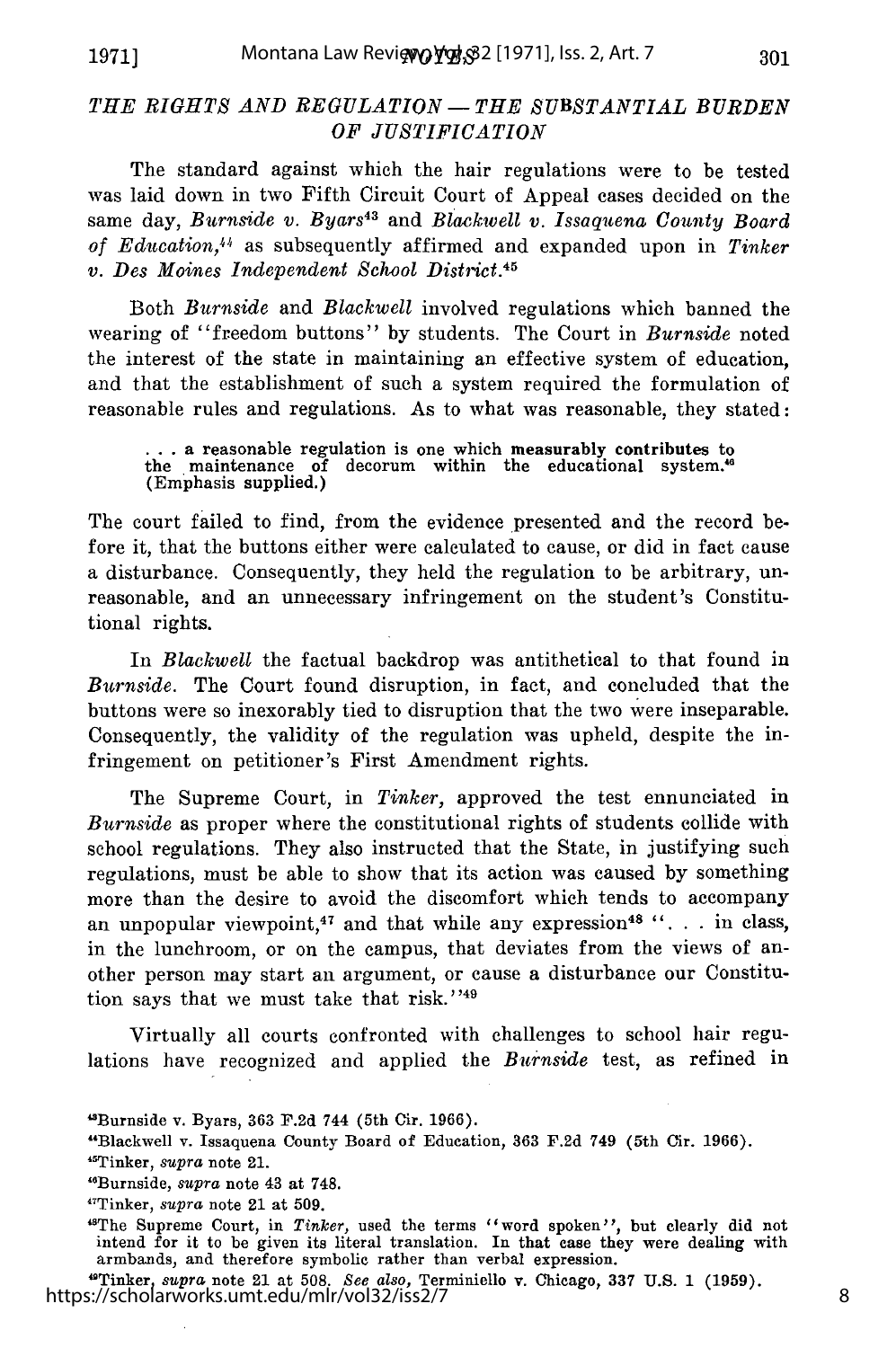**1971]**

### *THE RIGHTS AND REGULATION- THE SUBSTANTIAL BURDEN OF JUSTIFICATION*

The standard against which the hair regulations were to be tested was laid down in two Fifth Circuit Court of Appeal cases decided on the same day, *Burnside v. Byars<sup>43</sup>* and *Blackwell v. Issaquena County Board of Education,"1,* as subsequently affirmed and expanded upon in *Tinker v. Des Moines Independent School District.45*

Both *Burnside* and *Blackwell* involved regulations which banned the wearing of "freedom buttons" by students. The Court in *Burnside* noted the interest of the state in maintaining an effective system of education, and that the establishment of such a system required the formulation of reasonable rules and regulations. As to what was reasonable, they stated:

**...** a reasonable regulation is one which measurably contributes to the maintenance of decorum within the educational system." (Emphasis supplied.)

The court failed to find, from the evidence presented and the record before it, that the buttons either were calculated to cause, or did in fact cause a disturbance. Consequently, they held the regulation to be arbitrary, unreasonable, and an unnecessary infringement on the student's Constitutional rights.

In *Blackwell* the factual backdrop was antithetical to that found in *Burnside.* The Court found disruption, in fact, and concluded that the buttons were so inexorably tied to disruption that the two were inseparable. Consequently, the validity of the regulation was upheld, despite the infringement on petitioner's First Amendment rights.

The Supreme Court, in *Tinker,* approved the test ennunciated in *Burnside* as proper where the constitutional rights of students collide with school regulations. They also instructed that the State, in justifying such regulations, must be able to show that its action was caused by something more than the desire to avoid the discomfort which tends to accompany an unpopular viewpoint,<sup>47</sup> and that while any expression<sup>48</sup> "... in class, in the lunchroom, or on the campus, that deviates from the views of another person may start an argument, or cause a disturbance our Constitution says that we must take that risk."<sup>49</sup>

Virtually all courts confronted with challenges to school hair regulations have recognized and applied the *Burnside* test, as refined in

- "Burnside, *supra* note 43 at 748.
- 47Tinker, *supra* note 21 at 509.

<sup>4</sup>The Supreme Court, in *Tinker*, used the terms "word spoken", but clearly did not intend for it to be given its literal translation. In that case they were dealing with armbands, and therefore symbolic rather than verbal expression.

"Tinker, *supra* note 21 at 508. *See also,* Terminiello v. Chicago, 337 U.S. 1 (1959). https://scholarworks.umt.edu/mlr/vol32/iss2/7

<sup>&</sup>quot;Burnside v. Byars, 363 F.2d 744 (5th Cir. 1966).

<sup>&</sup>quot;Blackwell v. Issaquena County Board of Education, 363 F.2d 749 (5th Cir. 1966). "Tinker, *supra* note 21.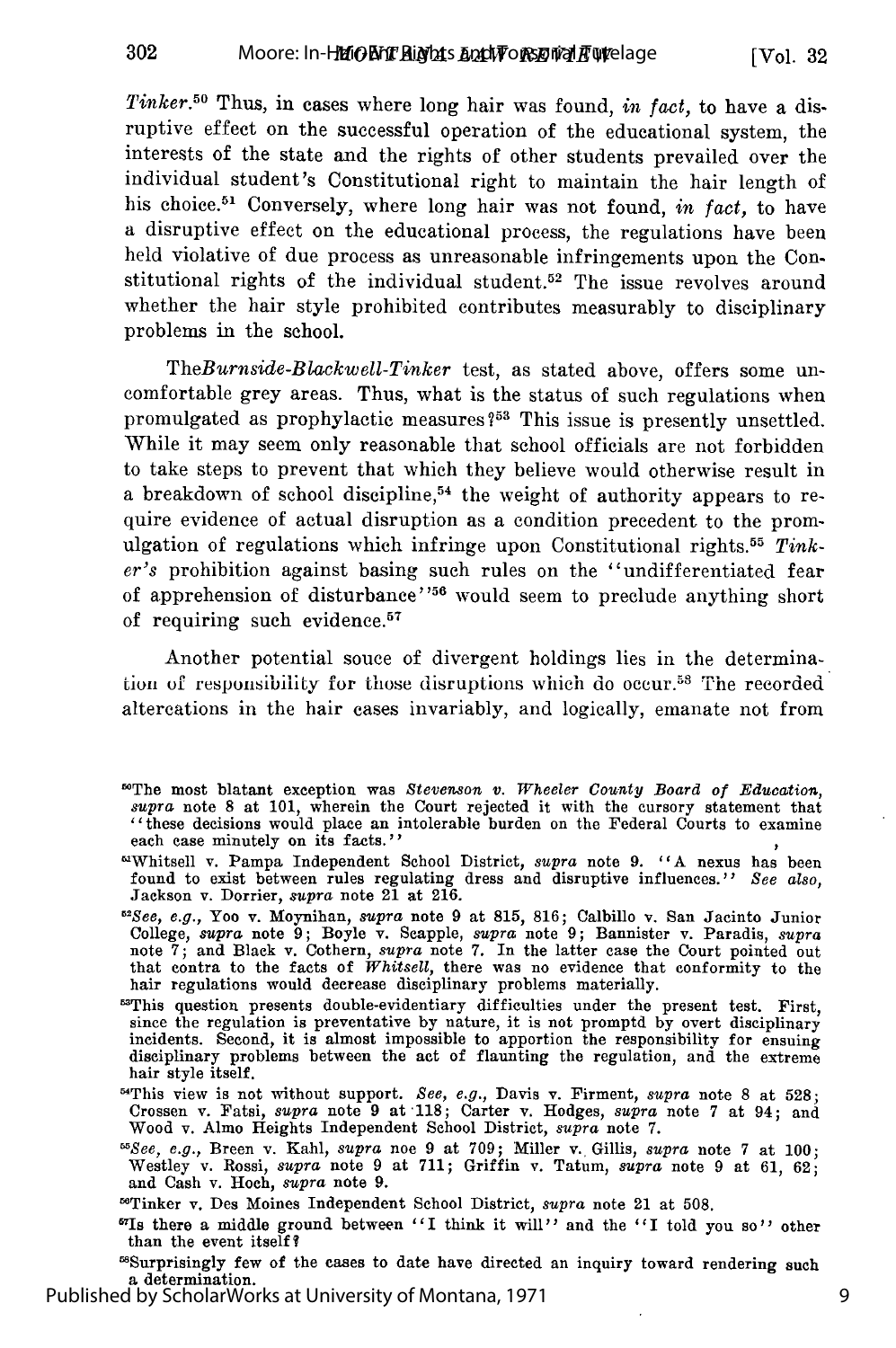*Tinker.50* Thus, in cases where long hair was found, *in fact,* to have a disruptive effect on the successful operation of the educational system, the interests of the state and the rights of other students prevailed over the individual student's Constitutional right to maintain the hair length of his choice. 51 Conversely, where long hair was not found, *in fact,* to have a disruptive effect on the educational process, the regulations have been held violative of due process as unreasonable infringements upon the Constitutional rights of the individual student.<sup>52</sup> The issue revolves around whether the hair style prohibited contributes measurably to disciplinary problems in the school.

*TheBurnside-Blackwell-Tinker* test, as stated above, offers some uncomfortable grey areas. Thus, what is the status of such regulations when promulgated as prophylactic measures **?5** This issue is presently unsettled. While it may seem only reasonable that school officials are not forbidden to take steps to prevent that which they believe would otherwise result in a breakdown of school discipline,<sup>54</sup> the weight of authority appears to require evidence of actual disruption as a condition precedent to the promulgation of regulations which infringe upon Constitutional rights.55 *Tinker's* prohibition against basing such rules on the "undifferentiated fear of apprehension of disturbance"<sup>56</sup> would seem to preclude anything short of requiring such evidence.<sup>57</sup>

Another potential souce of divergent holdings lies in the determination of responsibility for those disruptions which do occur.<sup>58</sup> The recorded altercations in the hair cases invariably, and logically, emanate not from

- *52See, e.g.,* Yoo v. Moynihan, *supra* note 9 at 815, 816; Calbillo v. San Jacinto Junior College, *supra* note 9; Boyle v. Scapple, *supra* note 9; Bannister v. Paradis, *supra* note 7; and Black v. Cothern, *supra* note 7. In the latter case the Court pointed out that contra to the facts of *Whitsell,* there was no evidence that conformity to the hair regulations would decrease disciplinary problems materially.
- <sup>53</sup>This question presents double-evidentiary difficulties under the present test. First, since the regulation is preventative by nature, it is not promptd by overt disciplinary incidents. Second, it is almost impossible to apportion the responsibility for ensuing disciplinary problems between the act of flaunting the regulation, and the extreme hair style itself.
- "This view is not without support. *See, e.g.,* Davis v. Firment, *supra* note **8** at 528; Crossen v. Fatsi, *supra* note 9 at -118; Carter v. Hodges, *supra* note 7 at 94; and Wood v. Almo Heights Independent School District, *supra* note 7.
- *"See, e.g.,* Breen v. Kahl, *supra* noe 9 at 709; Miller v. Gillis, *supra* note 7 at 100; Westley v. Rossi, *supra* note 9 at 711; Griffin v. Tatum, *supra* note 9 at 61, 62; and Cash v. Hoch, *supra* note 9.

Published by ScholarWorks at University of Montana, 1971

<sup>5°</sup>The most blatant exception was *Stevenson v. Wheeler County Board of Education, supra* note 8 at 101, wherein the Court rejected it with the cursory statement that "these decisions would place an intolerable burden on the Federal Courts to examine each case minutely on its facts."

Whitsell v. Pampa Independent School District, *supra* note 9. *"A* nexus has been found to exist between rules regulating dress and disruptive influences." *See also,* Jackson v. Dorrier, *supra* note 21 at 216.

<sup>&</sup>quot;Tinker v. Des Moines Independent School District, *supra* note 21 at **508.**

<sup>&</sup>quot;7Is there a middle ground between *"I* think it will'" and the **"I** told you so" other than the event itself?

<sup>&</sup>quot;Surprisingly few of the cases to date have directed an inquiry toward rendering such a determination.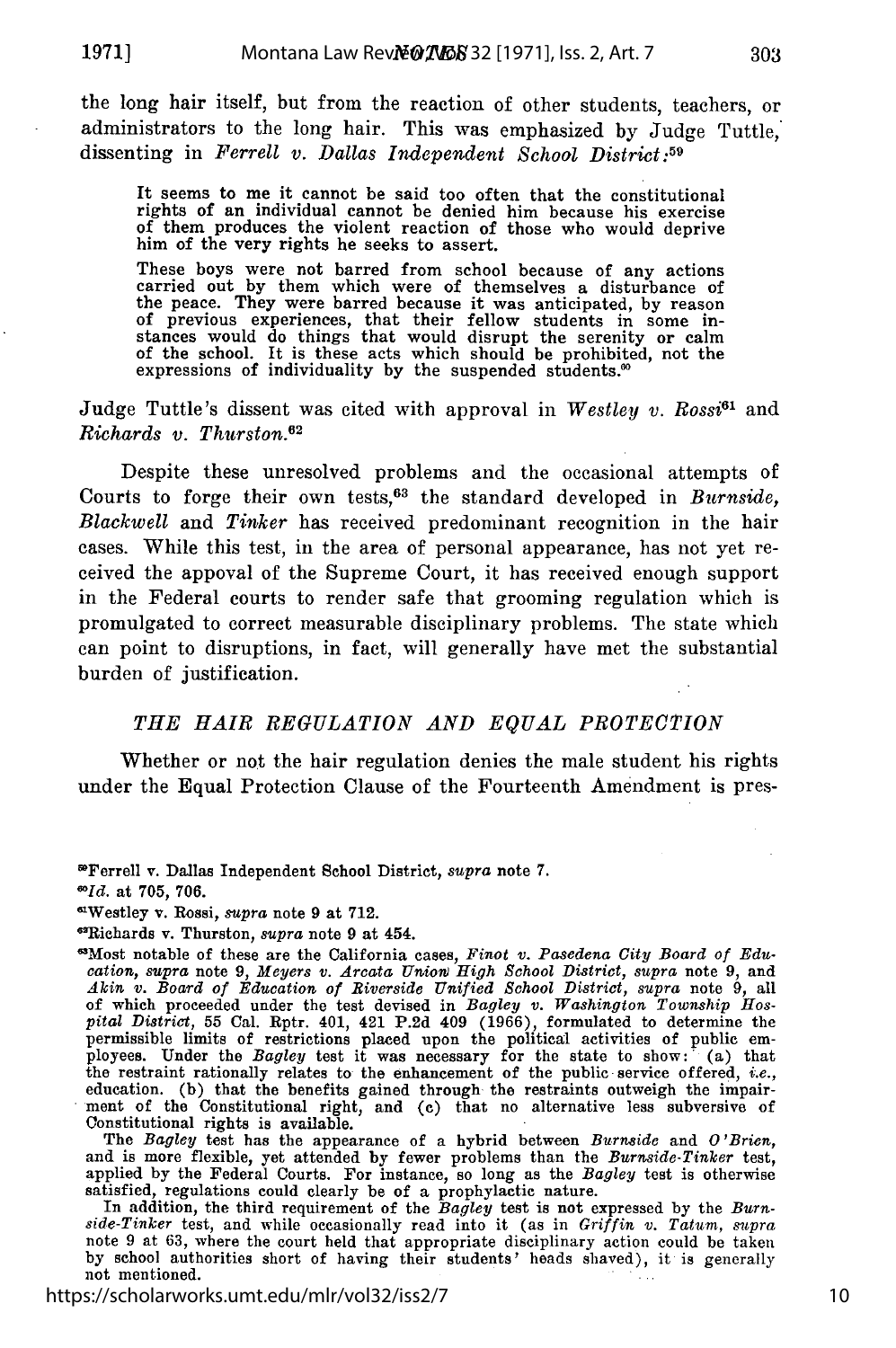the long hair itself, but from the reaction of other students, teachers, or administrators to the long hair. This was emphasized by Judge Tuttle,' dissenting in *Ferrell v. Dallas Independent School District:59*

It seems to me it cannot be said too often that the constitutional rights of an individual cannot be denied him because his exercise of them produces the violent reaction of those who would deprive him of the very rights he seeks to assert.

These boys were not barred from school because of any actions carried out by them which were of themselves a disturbance of the peace. They were barred because it was anticipated, by reason of previous experiences, that their fellow students in some in-stances would do things that would disrupt the serenity or calm of the school. It is these acts which should be prohibited, not the expressions of individuality by the suspended students.<sup>60</sup>

Judge Tuttle's dissent was cited with approval in *Westley v. Rossi61* and *Richards v. Thurston. <sup>2</sup>*

Despite these unresolved problems and the occasional attempts of Courts to forge their own tests,<sup>63</sup> the standard developed in *Burnside*, *Blackwell* and *Tinker* has received predominant recognition in the hair cases. While this test, in the area of personal appearance, has not yet received the appoval of the Supreme Court, it has received enough support in the Federal courts to render safe that grooming regulation which is promulgated to correct measurable disciplinary problems. The state which can point to disruptions, in fact, will generally have met the substantial burden of justification.

#### *THE HAIR REGULATION AND EQUAL PROTECTION*

Whether or not the hair regulation denies the male student his rights under the Equal Protection Clause of the Fourteenth Amendment is pres-

*0'Id.* at **705,** 706.

"lRichards v. Thurston, *supra* note 9 at 454.

6Most notable of these are the California cases, *Finot v. Pasedena City Board of Edu-cation, supra* note 9, *Meyers v. Arcata UnioWv High School District, supra* note 9, and *Akin v. Board of Education of Riverside Unified School District, supra* note 9, all of which proceeded under the test devised in *Bagley* v. *Washington Township Hos-pital District,* **55** Cal. Rptr. 401, 421 **P.2d** 409 (1966), formulated to determine the permissible limits of restrictions placed upon the political activities of public em-<br>ployees. Under the *Bagley* test it was necessary for the state to show: (a) that the restraint rationally relates to the enhancement of the public service offered, *i.e.,* education. (b) that the benefits gained through the restraints outweigh the impair-ment of the Constitutional right, and (c) that no alternative less subversive of Constitutional rights is available.

The *Bagley* test has the appearance of a hybrid between *Burnside* and *O'Brien,* and is more flexible, yet attended by fewer problems than the *Burnside-Tinker* test, applied by the Federal Courts. For instance, so long as the *Bagley* test is otherwise

satisfied, regulations could clearly be of a prophylactic nature.<br>In addition, the third requirement of the Bagley test is not expressed by the Burn-<br>side-Tinker test, and while occasionally read into it (as in Griffin v. note 9 at 63, where the court held that appropriate disciplinary action could be taken by school authorities short of having their students' heads shaved), it is generally not mentioned.

https://scholarworks.umt.edu/mlr/vol32/iss2/7

<sup>&</sup>quot;Ferrell v. Dallas Independent School District, *supra* note **7.**

<sup>6</sup>Westley v. Rossi, *supra* note 9 at 712.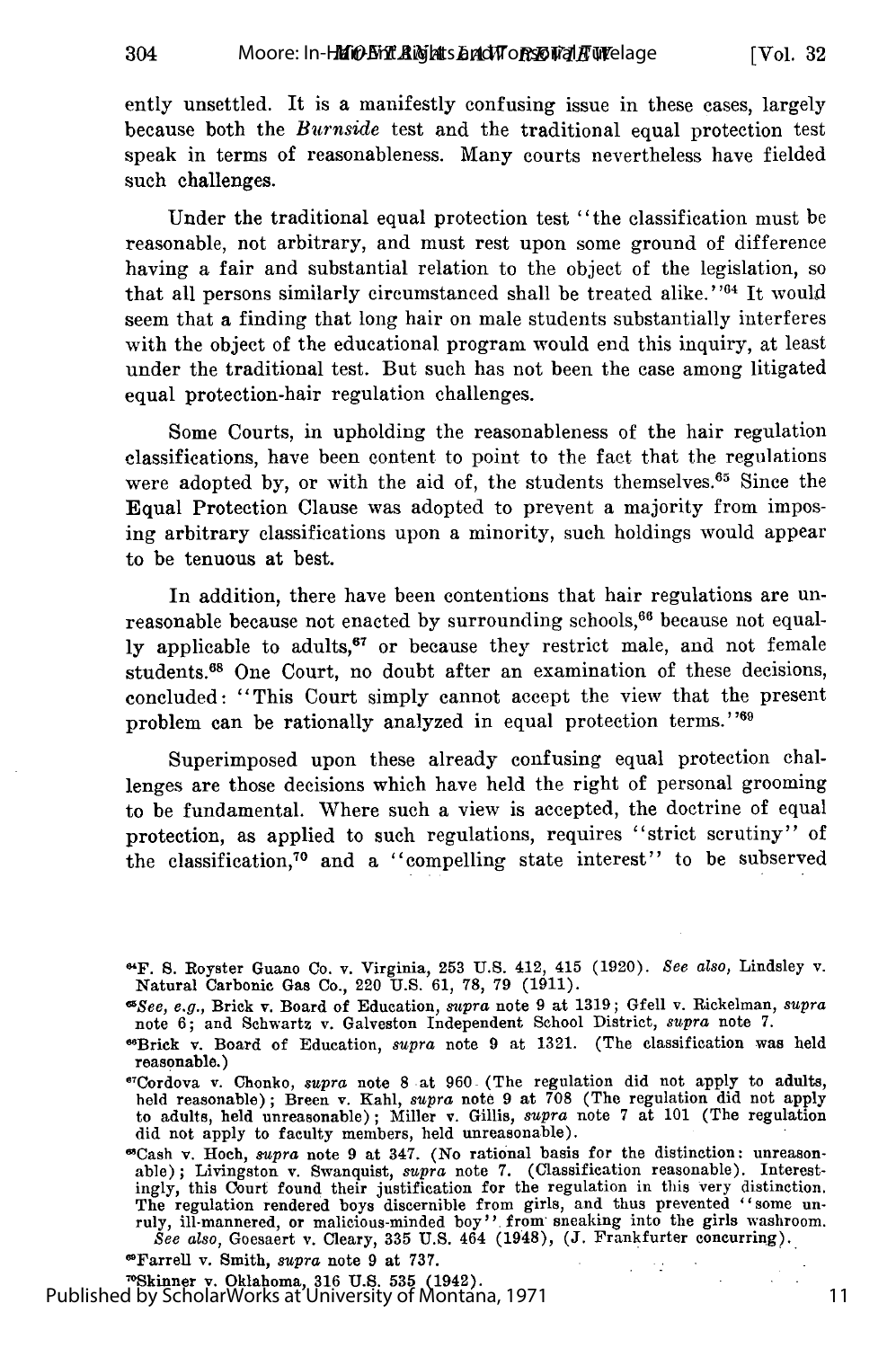Moore: In-H**MiO-Ent Aights and WorsoWal A Welage** 

304

[Vol. **32**

ently unsettled. It is a manifestly confusing issue in these cases, largely because both the *Burnside* test and the traditional equal protection test speak in terms of reasonableness. Many courts nevertheless have fielded such challenges.

Under the traditional equal protection test "the classification must be reasonable, not arbitrary, and must rest upon some ground of difference having a fair and substantial relation to the object of the legislation, so that all persons similarly circumstanced shall be treated alike."<sup>64</sup> It would seem that a finding that long hair on male students substantially interferes with the object of the educational program would end this inquiry, at least under the traditional test. But such has not been the case among litigated equal protection-hair regulation challenges.

Some Courts, in upholding the reasonableness of the hair regulation classifications, have been content to point to the fact that the regulations were adopted by, or with the aid of, the students themselves.<sup>65</sup> Since the Equal Protection Clause was adopted to prevent a majority from imposing arbitrary classifications upon a minority, such holdings would appear to be tenuous at best.

In addition, there have been contentions that hair regulations are unreasonable because not enacted by surrounding schools,  $66$  because not equally applicable to adults, $67$  or because they restrict male, and not female students.<sup>68</sup> One Court, no doubt after an examination of these decisions, concluded: "This Court simply cannot accept the view that the present problem can be rationally analyzed in equal protection terms."<sup>169</sup>

Superimposed upon these already confusing equal protection challenges are those decisions which have held the right of personal grooming to be fundamental. Where such a view is accepted, the doctrine of equal protection, as applied to such regulations, requires "strict scrutiny" of the classification,<sup>70</sup> and a "compelling state interest" to be subserved

"Cash v. Hoch, *supra* note **9** at 347. (No rational basis for the distinction: unreason-able) **;** Livingston v. Swanquist, *supra* note **7.** (Classification reasonable). Interestingly, this Court found their justification for the regulation in this very distinction. The regulation rendered boys discernible from girls, and thus prevented "some unruly, ill-mannered, or malicious-minded boy" from sneaking into the girls washroom See also, Goesaert v. Cleary, 335 U.S. 464 (1948), (J. Fran

 $\omega=120$ 

"Farrell v. Smith, *supra* note 9 at 737.

Tailen v. Smith, *supra* note 9 at 191.<br><sup>70</sup>Skinner v. Oklahoma, 316 U.S. 535 (1942). Published by ScholarWorks at University of Montana, 1971

<sup>&</sup>quot;F. S. Royster Guano Co. v. Virginia, 253 U.S. 412, 415 (1920). *See also,* Lindsley v. Natural Carbonic Gas Co., 220 U.S. 61, **78,** 79 (1911).

*<sup>&</sup>quot;See, e.g.,* Brick v. Board of Education, *supra* note 9 at 1319; Gfell v. Rickelman, *supra* note 6; and Schwartz v. Galveston Independent School District, *supra* note 7.

<sup>&</sup>quot;Brick v. Board of Education, *supra* note 9 at 1321. (The classification was held reasonable.)

<sup>6</sup> Cordova v. Chonko, supra note **8** at **960** (The regulation did not apply to adults, held reasonable); Breen v. Kahl, *supra* note **9** at **708** (The regulation did not apply to adults, held unreasonable) **;** Miller v. Gillis, *supra* note **7** at **101** (The regulation did not apply to faculty members, held unreasonable).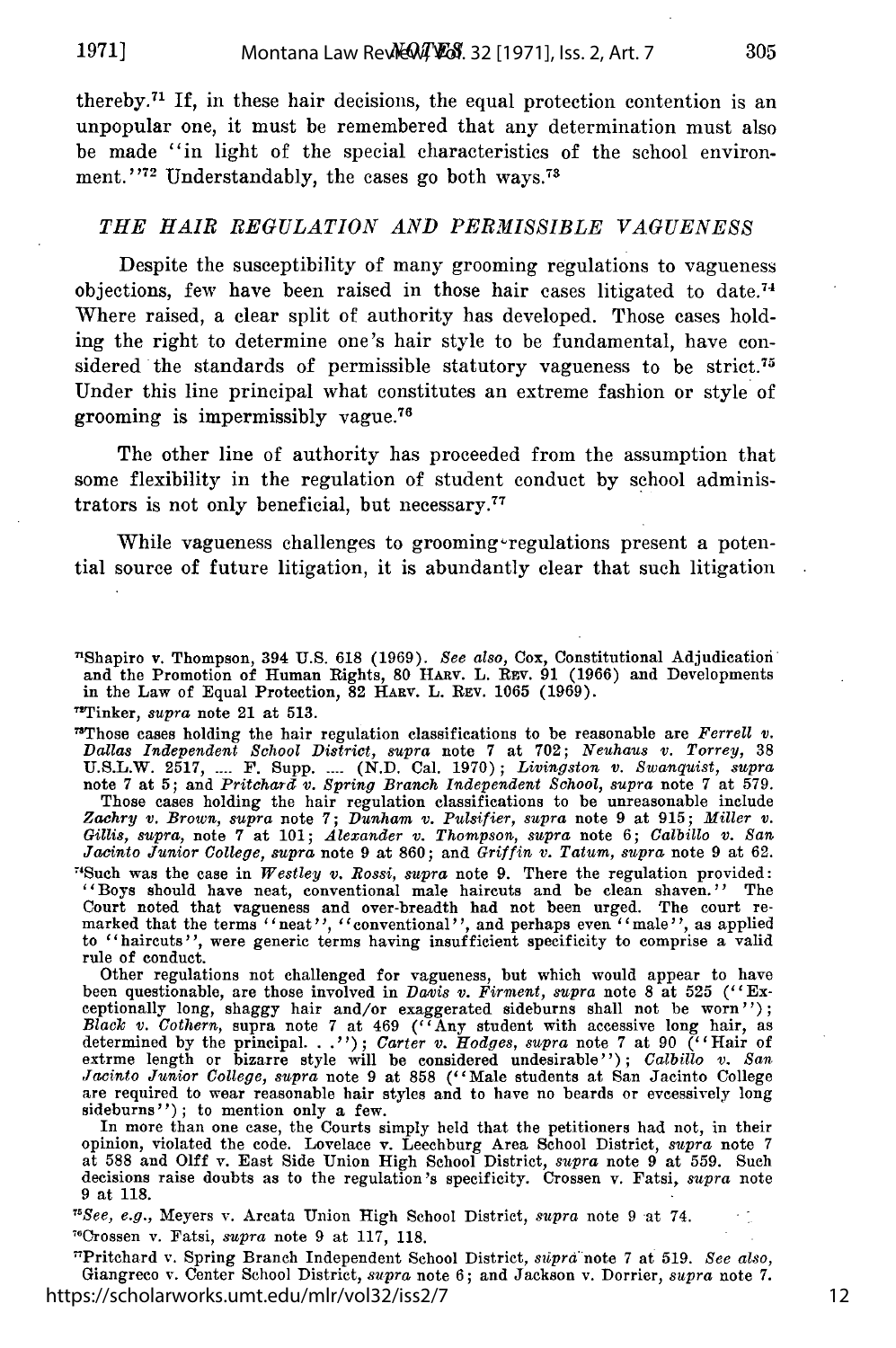**1971]**

thereby.71 If, in these hair decisions, the equal protection contention is an unpopular one, it must be remembered that any determination must also be made "in light of the special characteristics of the school environment."<sup>72</sup> Understandably, the cases go both ways.<sup>73</sup>

#### *THE HAIR REGULATION AND PERMISSIBLE VAGUENESS*

Despite the susceptibility of many grooming regulations to vagueness objections, few have been raised in those hair cases litigated to date.<sup>74</sup> Where raised, a clear split of authority has developed. Those cases holding the right to determine one's hair style to be fundamental, have considered the standards of permissible statutory vagueness to be strict.<sup>75</sup> Under this line principal what constitutes an extreme fashion or style of grooming is impermissibly vague. <sup>76</sup>

The other line of authority has proceeded from the assumption that some flexibility in the regulation of student conduct by school administrators is not only beneficial, but necessary. <sup>77</sup>

While vagueness challenges to grooming regulations present a potential source of future litigation, it is abundantly clear that such litigation

'Shapiro v. Thompson, 394 **U.S. 618 (1969).** *See also,* Cox, Constitutional Adjudication and the Promotion of Human Rights, 80 HARV. L. REV. 91 (1966) and Developments in the Law of Equal Protection, 82 HARV. L. **REV.** 1065 (1969).

"Tinker, *supra* note 21 at 513.

"Those cases holding the hair regulation classifications to be reasonable are *Ferrell v.* Dallas Independent School District, supra note 7 at 702; Neuhaus v. Torrey, 38<br>U.S.L.W. 2517, .... F. Supp. .... (N.D. Cal. 1970); Livingston v. Swanquist, supra<br>note 7 at 5; and Pritchard v. Spring Branch Independent Scho Those cases holding the hair regulation classifications to be unreasonable include *Zaehry v. Brown, supra* note 7; *Dunham v. Pulsifier, supra* note 9 at 915; *Miller v. Gillis, supra, note 7 at 101; Alexander v. Thompson, supra note 6; Calbillo v. San Jacinto Junior College, supra note 9 at 860; and <i>Griffin v. Tatum, supra* note 9 at 62. 'Such was the case in *Westley v. Rossi, supra* note 9. There the regulation provided: "Boys should have neat, conventional male haircuts and be clean shaven." The Court noted that vagueness and over-breadth had not been urged. The court remarked that the terms "neat", "conventional", and perhaps even "male", as applied to "haircuts", were generic terms having insufficient specificit rule of conduct.

Other regulations not challenged for vagueness, but which would appear to have been questionable, are those involved in *Davis v. Firment, supra* note 8 at 525 ("Exceptionally long, shaggy hair and/or exaggerated sideburns shall not be worn'');<br>Black v. Cothern, supra note 7 at 469 ("Any student with accessive long hair, as<br>determined by the principal..."); Carter v. Hodges, supra no *Jacinto Junior College, supra* note 9 at 858 ("Male students at San Jacinto College")<br>are required to wear reasonable hair styles and to have no beards or evcessively long sideburns"); to mention only a few.

In more than one case, the Courts simply held that the petitioners had not, in their opinion, violated the code. Lovelace v. Leechburg Area School District, *supra* note 7 at 588 and **Olff** v. East Side Union High School District, *supra* note 9 at 559. Such decisions raise doubts as to the regulation *'s* specificity. Crossen v. Fatsi, *supra* note 9 at 118.

*"See, e.g.,* Meyers v. Arcata Union High School District, *supra* note 9 at 74. "Crossen v. Fatsi, *supra* note 9 at 117, 118.

"Pritchard v. Spring Branch Independent School District, *sipra* note 7 at 519. *See also,* Giangreco v. Center School District, *supra* note 6; and Jackson v. Dorrier, *supra* note 7. https://scholarworks.umt.edu/mlr/vol32/iss2/7